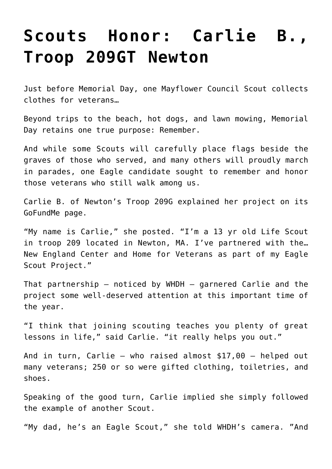## **[Scouts Honor: Carlie B.,](https://www.mayflowerbsa.org/scouts-honor-carlie-b-troop-209gt-newton/) [Troop 209GT Newton](https://www.mayflowerbsa.org/scouts-honor-carlie-b-troop-209gt-newton/)**

Just before Memorial Day, one Mayflower Council Scout collects clothes for veterans…

Beyond trips to the beach, hot dogs, and lawn mowing, Memorial Day retains one true purpose: Remember.

And while some Scouts will carefully place flags beside the graves of those who served, and many others will proudly march in parades, one Eagle candidate sought to remember and honor those veterans who still walk among us.

Carlie B. of Newton's Troop 209G explained her project on its GoFundMe page.

"My name is Carlie," she posted. "I'm a 13 yr old Life Scout in troop 209 located in Newton, MA. I've partnered with the… New England Center and Home for Veterans as part of my Eagle Scout Project."

That partnership – [noticed by WHDH](https://whdh.com/news/westford-eagle-scout-delivers-250-gift-bags-to-veterans-in-need/) – garnered Carlie and the project some well-deserved attention at this important time of the year.

"I think that joining scouting teaches you plenty of great lessons in life," said Carlie. "it really helps you out."

And in turn, Carlie – who raised almost \$17,00 – helped out many veterans; 250 or so were gifted clothing, toiletries, and shoes.

Speaking of the good turn, Carlie implied she simply followed the example of another Scout.

"My dad, he's an Eagle Scout," she told [WHDH's camera](https://whdh.com/news/westford-eagle-scout-delivers-250-gift-bags-to-veterans-in-need/). "And